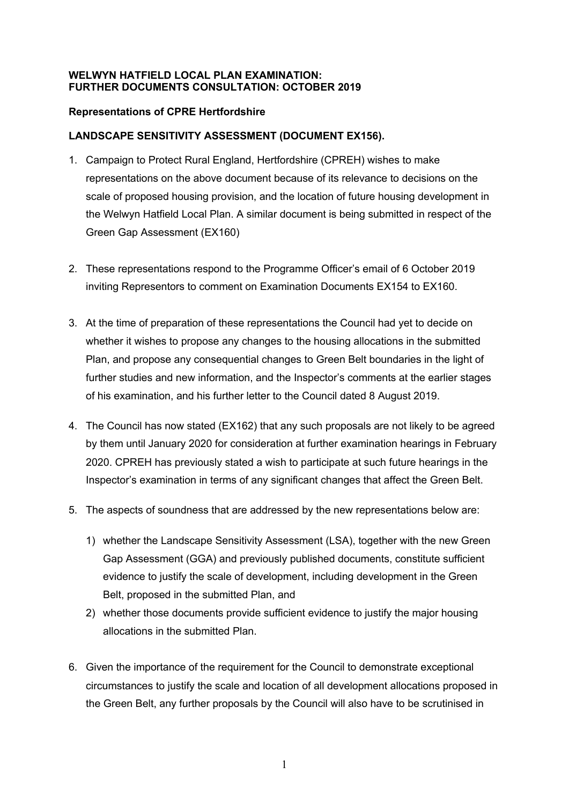## **WELWYN HATFIELD LOCAL PLAN EXAMINATION: FURTHER DOCUMENTS CONSULTATION: OCTOBER 2019**

## **Representations of CPRE Hertfordshire**

## **LANDSCAPE SENSITIVITY ASSESSMENT (DOCUMENT EX156).**

- 1. Campaign to Protect Rural England, Hertfordshire (CPREH) wishes to make representations on the above document because of its relevance to decisions on the scale of proposed housing provision, and the location of future housing development in the Welwyn Hatfield Local Plan. A similar document is being submitted in respect of the Green Gap Assessment (EX160)
- 2. These representations respond to the Programme Officer's email of 6 October 2019 inviting Representors to comment on Examination Documents EX154 to EX160.
- 3. At the time of preparation of these representations the Council had yet to decide on whether it wishes to propose any changes to the housing allocations in the submitted Plan, and propose any consequential changes to Green Belt boundaries in the light of further studies and new information, and the Inspector's comments at the earlier stages of his examination, and his further letter to the Council dated 8 August 2019.
- 4. The Council has now stated (EX162) that any such proposals are not likely to be agreed by them until January 2020 for consideration at further examination hearings in February 2020. CPREH has previously stated a wish to participate at such future hearings in the Inspector's examination in terms of any significant changes that affect the Green Belt.
- 5. The aspects of soundness that are addressed by the new representations below are:
	- 1) whether the Landscape Sensitivity Assessment (LSA), together with the new Green Gap Assessment (GGA) and previously published documents, constitute sufficient evidence to justify the scale of development, including development in the Green Belt, proposed in the submitted Plan, and
	- 2) whether those documents provide sufficient evidence to justify the major housing allocations in the submitted Plan.
- 6. Given the importance of the requirement for the Council to demonstrate exceptional circumstances to justify the scale and location of all development allocations proposed in the Green Belt, any further proposals by the Council will also have to be scrutinised in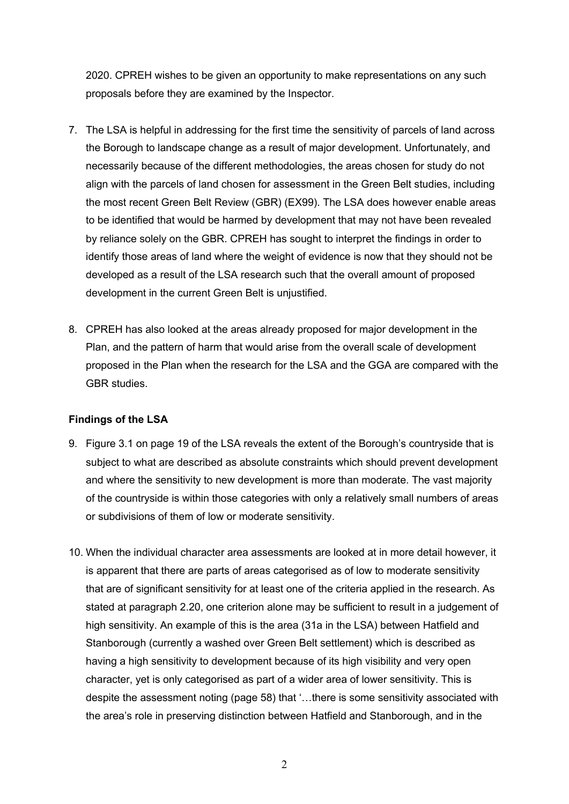2020. CPREH wishes to be given an opportunity to make representations on any such proposals before they are examined by the Inspector.

- 7. The LSA is helpful in addressing for the first time the sensitivity of parcels of land across the Borough to landscape change as a result of major development. Unfortunately, and necessarily because of the different methodologies, the areas chosen for study do not align with the parcels of land chosen for assessment in the Green Belt studies, including the most recent Green Belt Review (GBR) (EX99). The LSA does however enable areas to be identified that would be harmed by development that may not have been revealed by reliance solely on the GBR. CPREH has sought to interpret the findings in order to identify those areas of land where the weight of evidence is now that they should not be developed as a result of the LSA research such that the overall amount of proposed development in the current Green Belt is unjustified.
- 8. CPREH has also looked at the areas already proposed for major development in the Plan, and the pattern of harm that would arise from the overall scale of development proposed in the Plan when the research for the LSA and the GGA are compared with the GBR studies.

## **Findings of the LSA**

- 9. Figure 3.1 on page 19 of the LSA reveals the extent of the Borough's countryside that is subject to what are described as absolute constraints which should prevent development and where the sensitivity to new development is more than moderate. The vast majority of the countryside is within those categories with only a relatively small numbers of areas or subdivisions of them of low or moderate sensitivity.
- 10. When the individual character area assessments are looked at in more detail however, it is apparent that there are parts of areas categorised as of low to moderate sensitivity that are of significant sensitivity for at least one of the criteria applied in the research. As stated at paragraph 2.20, one criterion alone may be sufficient to result in a judgement of high sensitivity. An example of this is the area (31a in the LSA) between Hatfield and Stanborough (currently a washed over Green Belt settlement) which is described as having a high sensitivity to development because of its high visibility and very open character, yet is only categorised as part of a wider area of lower sensitivity. This is despite the assessment noting (page 58) that '…there is some sensitivity associated with the area's role in preserving distinction between Hatfield and Stanborough, and in the